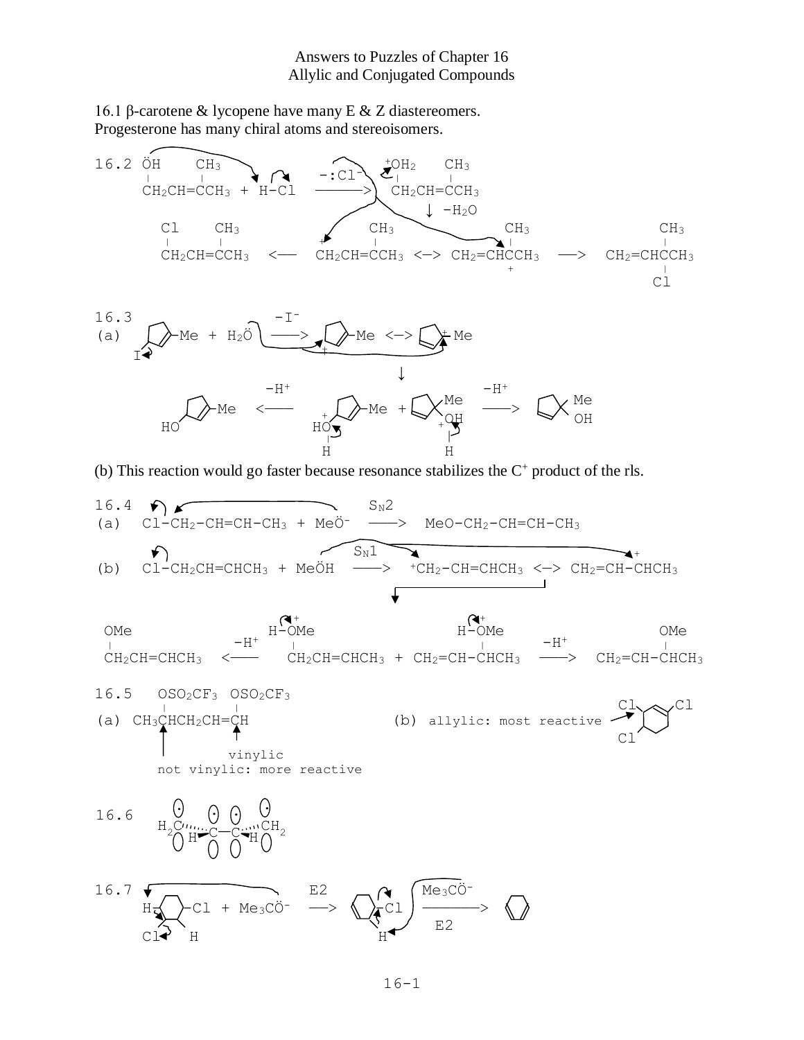## Answers to Puzzles of Chapter 16 Allylic and Conjugated Compounds

16.1 β-carotene & lycopene have many E & Z diastereomers. Progesterone has many chiral atoms and stereoisomers.



(b) This reaction would go faster because resonance stabilizes the  $C<sup>+</sup>$  product of the rls.

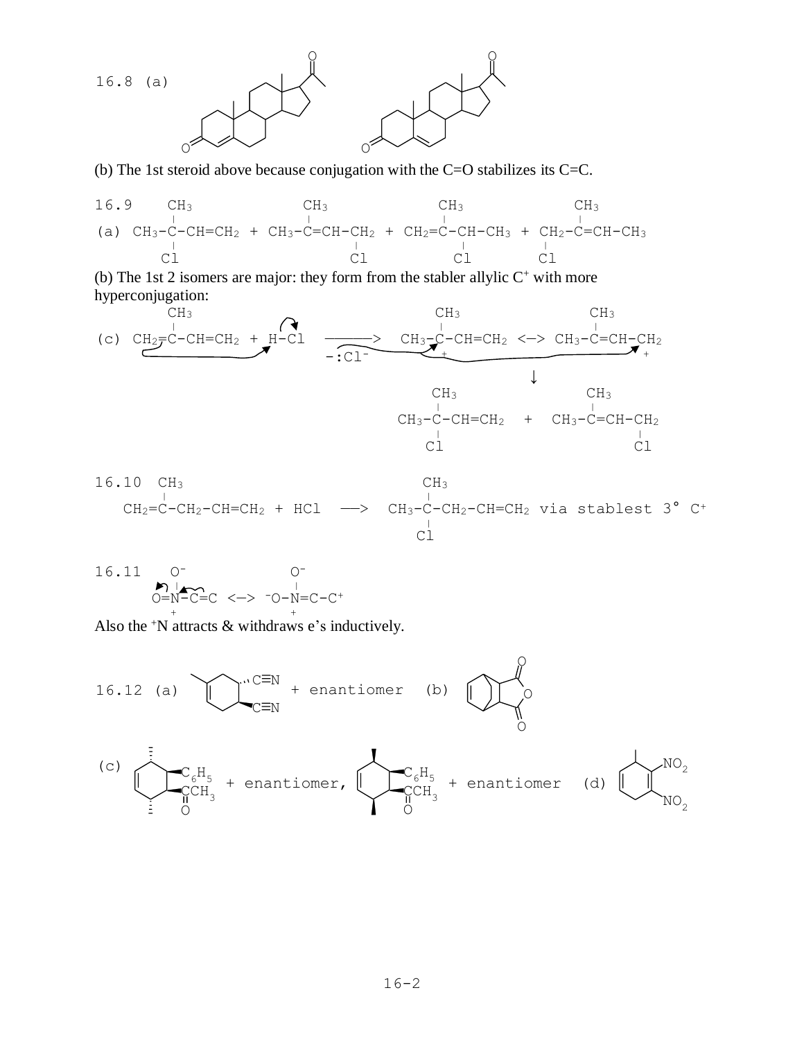

(b) The 1st steroid above because conjugation with the C=O stabilizes its C=C.



(b) The 1st 2 isomers are major: they form from the stabler allylic  $C^+$  with more hyperconjugation:



16.10 CH<sub>3</sub> CH<sub>3</sub>  
CH<sub>2</sub>=C-CH<sub>2</sub>-CH=CH<sub>2</sub> + HCl 
$$
\longrightarrow
$$
 CH<sub>3</sub>-C-CH<sub>2</sub>-CH=CH<sub>2</sub> via stablest 3<sup>o</sup> C<sup>+</sup>  
Cl

16.11 0<sup>-</sup> 0<sup>-</sup>  
 
$$
\overline{O} = N - C = C
$$
  $\leftarrow$   $\overline{O} - N = C - C$ <sup>+</sup>

Also the <sup>+</sup>N attracts & withdraws e's inductively.

16.12 (a) 
$$
\overline{C_N} = N
$$
 + enantiomer (b)  $\overline{C_N}$   
\n(c)  $\overline{C_6H_5} + \overline{C_6H_3} + \overline{C_6H_4} + \overline{C_6H_5} + \overline{C_6H_6} + \overline{C_6H_7} + \overline{C_6H_8} + \overline{C_6H_8} + \overline{C_6H_9} + \overline{C_6H_9} + \overline{C_6H_9} + \overline{C_6H_9} + \overline{C_6H_9} + \overline{C_6H_9} + \overline{C_6H_9} + \overline{C_6H_9} + \overline{C_6H_9} + \overline{C_6H_9} + \overline{C_6H_9} + \overline{C_6H_9} + \overline{C_6H_9} + \overline{C_6H_9} + \overline{C_6H_9} + \overline{C_6H_9} + \overline{C_6H_9} + \overline{C_6H_9} + \overline{C_6H_9} + \overline{C_6H_9} + \overline{C_6H_9} + \overline{C_6H_9} + \overline{C_6H_9} + \overline{C_6H_9} + \overline{C_6H_9} + \overline{C_6H_9} + \overline{C_6H_9} + \overline{C_6H_9} + \overline{C_6H_9} + \overline{C_6H_9} + \overline{C_6H_9} + \overline{C_6H_9} + \overline{C_6H_9} + \overline{C_6H_9} + \overline{C_6H_9} + \overline{C_6H_9} + \overline{C_6H_9} + \overline{C_6H_9} + \overline{C_6H_9} + \overline{C_6H_9} + \overline{C_6H_9} + \overline{C_6H_9} + \overline{C_6H_9} + \overline{C_6H_9} + \overline{C_6H_9} + \overline{C_6H_9} + \overline{C_6H_9} + \overline{C_6H_9} + \overline{C_6H_9} + \overline{C_6H_9} + \overline{C_6H_9} + \overline{C_6H_9$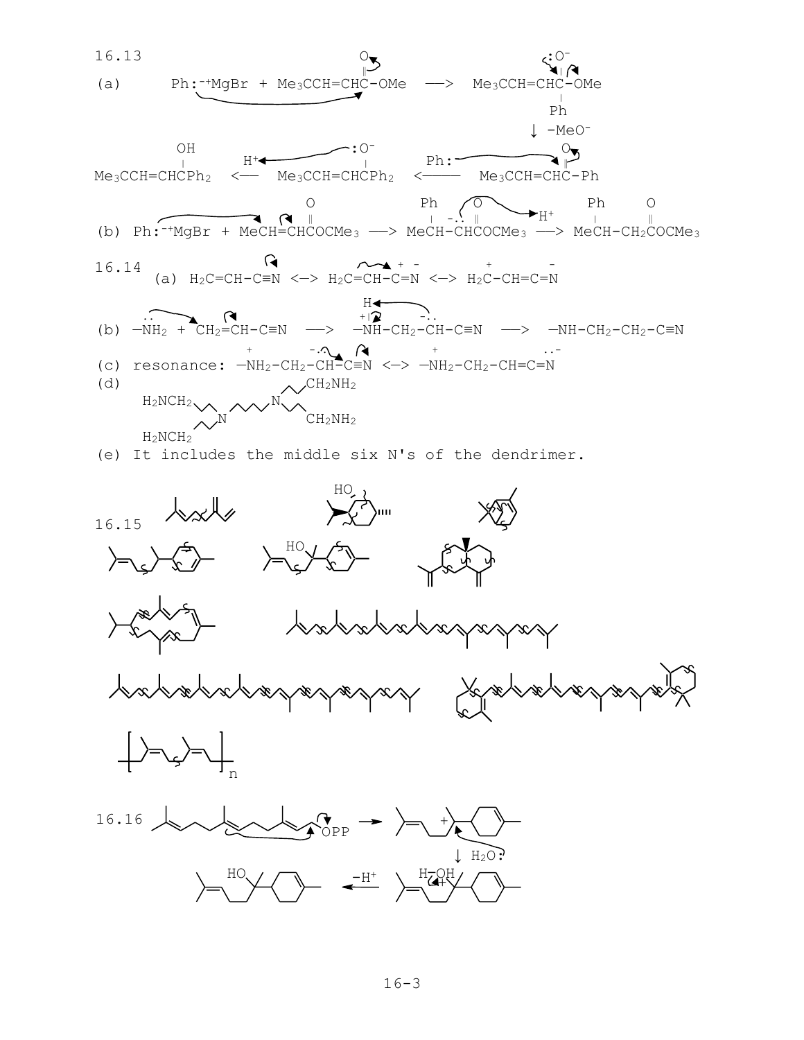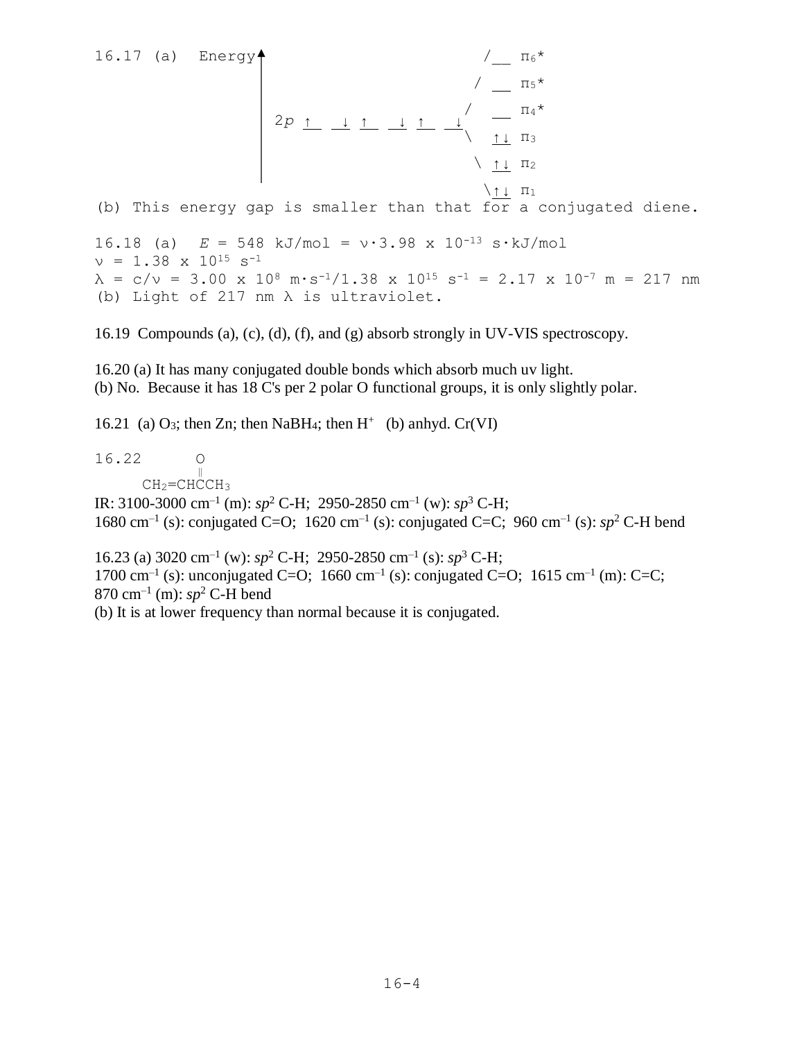16.17 (a) Energy  $\uparrow$   $\qquad \qquad$   $\qquad$   $\qquad$   $\qquad$   $\qquad$   $\qquad$   $\qquad$   $\qquad$   $\qquad$   $\qquad$   $\qquad$   $\qquad$   $\qquad$   $\qquad$   $\qquad$   $\qquad$   $\qquad$   $\qquad$   $\qquad$   $\qquad$   $\qquad$   $\qquad$   $\qquad$   $\qquad$   $\qquad$   $\qquad$   $\qquad$   $\qquad$   $\qquad$   $\qquad$   $\qquad$   $\qquad$   $\q$  $\sqrt{15^*}$  $\sqrt{1+4}$  2*p* ↑ ↓ ↑ ↓ ↑ ↓  $\uparrow$   $\uparrow$   $\uparrow$   $\uparrow$   $\uparrow$   $\uparrow$   $\uparrow$   $\uparrow$   $\uparrow$   $\uparrow$   $\uparrow$   $\uparrow$   $\uparrow$   $\uparrow$   $\uparrow$   $\uparrow$   $\uparrow$   $\uparrow$   $\uparrow$   $\uparrow$   $\uparrow$   $\uparrow$   $\uparrow$   $\uparrow$   $\uparrow$   $\uparrow$   $\uparrow$   $\uparrow$   $\uparrow$   $\uparrow$   $\uparrow$   $\uparrow$   $\uparrow$   $\uparrow$   $\uparrow$   $\uparrow$   $\uparrow$  $\setminus$   $\uparrow \downarrow$   $\pi_2$  \↑↓ π<sup>1</sup> (b) This energy gap is smaller than that for a conjugated diene. 16.18 (a) *E* = 548 kJ/mol = ν∙3.98 x 10-13 s∙kJ/mol  $v = 1.38 \times 10^{15} \text{ s}^{-1}$  $\lambda = c/v = 3.00 \times 10^8 \text{ m} \cdot \text{s}^{-1}/1.38 \times 10^{15} \text{ s}^{-1} = 2.17 \times 10^{-7} \text{ m} = 217 \text{ nm}$ (b) Light of 217 nm λ is ultraviolet.

16.19 Compounds (a), (c), (d), (f), and (g) absorb strongly in UV-VIS spectroscopy.

16.20 (a) It has many conjugated double bonds which absorb much uv light. (b) No. Because it has 18 C's per 2 polar O functional groups, it is only slightly polar.

16.21 (a) O<sub>3</sub>; then Zn; then NaBH<sub>4</sub>; then  $H^+$  (b) annyd. Cr(VI)

16.22 O  $\begin{array}{ccc}\n\textcolor{red}{\sqrt{1}} & \textcolor{red}{\sqrt{1}} \\
\textcolor{red}{\sqrt{1}} & \textcolor{red}{\sqrt{1}} \\
\textcolor{red}{\sqrt{1}} & \textcolor{red}{\sqrt{1}} \\
\textcolor{red}{\sqrt{1}} & \textcolor{red}{\sqrt{1}} \\
\textcolor{red}{\sqrt{1}} & \textcolor{red}{\sqrt{1}} \\
\textcolor{red}{\sqrt{1}} & \textcolor{red}{\sqrt{1}} \\
\textcolor{red}{\sqrt{1}} & \textcolor{red}{\sqrt{1}} \\
\textcolor{red}{\sqrt{1}} & \textcolor{red}{\sqrt{1}} \\
\textcolor{red}{\sqrt{1}} & \textcolor{red}{\sqrt$  $CH<sub>2</sub>=CHCCH<sub>3</sub>$ IR: 3100-3000 cm–1 (m): *sp*<sup>2</sup> C-H; 2950-2850 cm–1 (w): *sp*<sup>3</sup> C-H; 1680 cm<sup>-1</sup> (s): conjugated C=O; 1620 cm<sup>-1</sup> (s): conjugated C=C; 960 cm<sup>-1</sup> (s):  $sp^2$  C-H bend

16.23 (a) 3020 cm–1 (w): *sp*<sup>2</sup> C-H; 2950-2850 cm–1 (s): *sp*<sup>3</sup> C-H; 1700 cm<sup>-1</sup> (s): unconjugated C=O; 1660 cm<sup>-1</sup> (s): conjugated C=O; 1615 cm<sup>-1</sup> (m): C=C;  $870 \text{ cm}^{-1}$  (m):  $sp^2$  C-H bend (b) It is at lower frequency than normal because it is conjugated.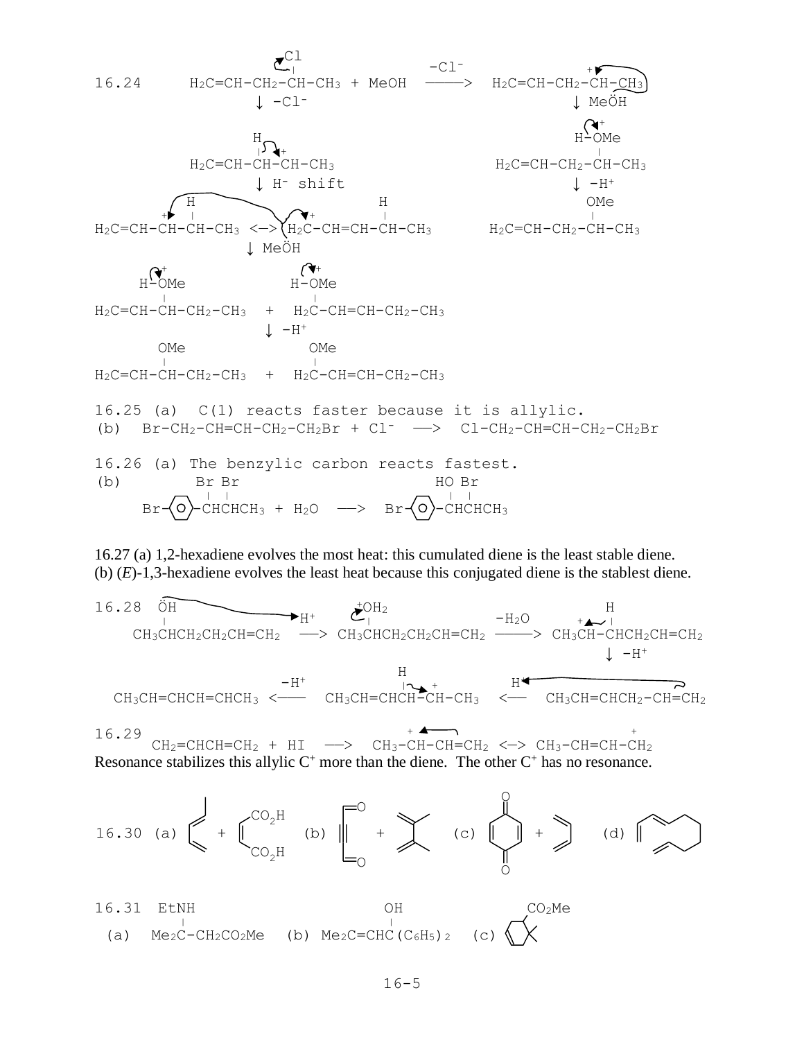

16.27 (a) 1,2-hexadiene evolves the most heat: this cumulated diene is the least stable diene. (b) (*E*)-1,3-hexadiene evolves the least heat because this conjugated diene is the stablest diene.

16.28 ÖH +OH2 H <sup>|</sup> H<sup>+</sup> <sup>|</sup> -H2O <sup>+</sup> <sup>|</sup> CH3CHCH2CH2CH=CH<sup>2</sup> ——> CH3CHCH2CH2CH=CH<sup>2</sup> ————> CH3CH-CHCH2CH=CH<sup>2</sup> ↓ -H<sup>+</sup> H -H<sup>+</sup> <sup>|</sup> <sup>+</sup> H<sup>+</sup> CH3CH=CHCH=CHCH<sup>3</sup> <——— CH3CH=CHCH-CH-CH<sup>3</sup> <—— CH3CH=CHCH2-CH=CH<sup>2</sup>

16.29 <sup>+</sup> <sup>+</sup>  $CH_2=CHCH=CH_2 + HI \longrightarrow CH_3-CH-CH=CH_2 \iff CH_3-CH=CH_2 \iff CH_3-CH=CH-CH_2$ Resonance stabilizes this allylic  $C^+$  more than the diene. The other  $C^+$  has no resonance.



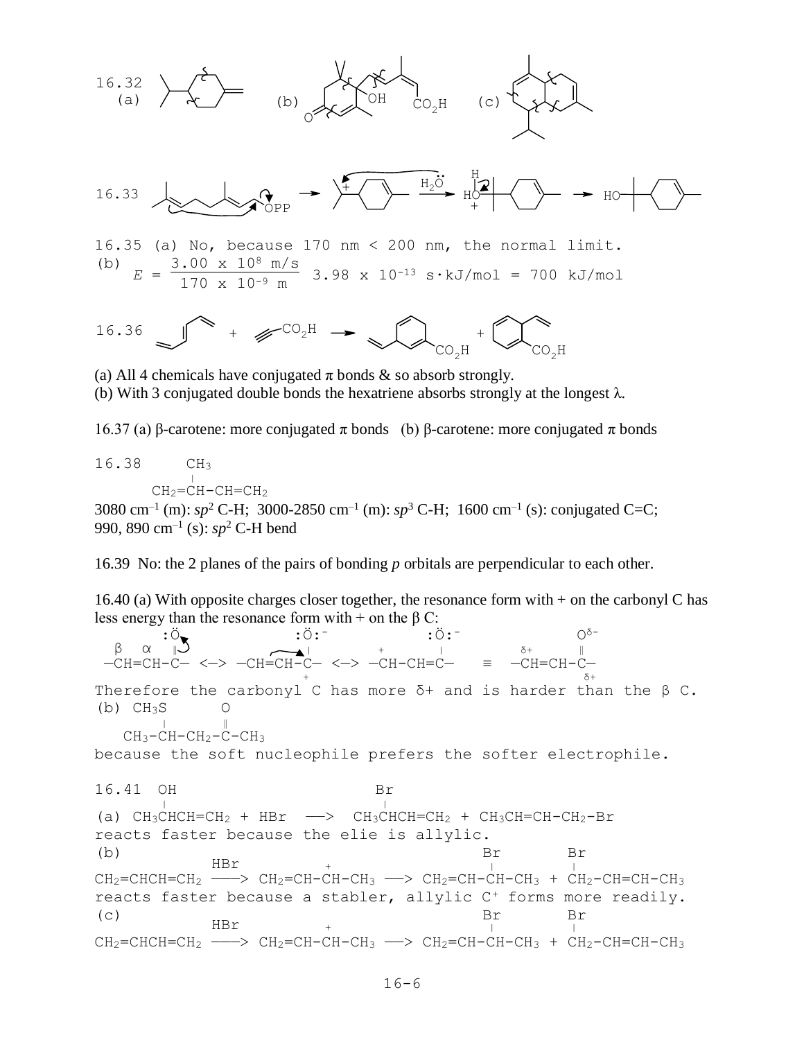

(b) With 3 conjugated double bonds the hexatriene absorbs strongly at the longest  $\lambda$ .

16.37 (a) β-carotene: more conjugated π bonds (b) β-carotene: more conjugated π bonds

16.38 CH<sup>3</sup>  $\frac{1}{2}$  $CH<sub>2</sub>=CH-CH=CH<sub>2</sub>$ 

3080 cm<sup>-1</sup> (m):  $sp^2$  C-H; 3000-2850 cm<sup>-1</sup> (m):  $sp^3$  C-H; 1600 cm<sup>-1</sup> (s): conjugated C=C; 990, 890 cm–1 (s): *sp*<sup>2</sup> C-H bend

16.39 No: the 2 planes of the pairs of bonding *p* orbitals are perpendicular to each other.

16.40 (a) With opposite charges closer together, the resonance form with + on the carbonyl C has less energy than the resonance form with + on the β C:

 $\ddot{\cdot} \ddot{\cdot} \ddot{\cdot}$  : Ö:  $\ddot{\cdot}$   $\ddot{\cdot}$  : Ö:  $\ddot{\cdot}$   $\qquad \qquad$  0^= β α ‖ <sup>|</sup> <sup>+</sup> <sup>|</sup> δ+ ‖ —CH=CH-C— <—> —CH=CH-C— <—> —CH-CH=C— ≡ —CH=CH-C—  $\frac{1}{6}$  +  $\frac{1}{6}$  +  $\frac{1}{6}$  +  $\frac{1}{6}$ Therefore the carbonyl C has more  $\delta$ + and is harder than the  $\beta$  C.  $(b)$  CH<sub>3</sub>S O  $\begin{array}{ccc} \n & \cdot & \cdot & \cdot & \cdot \quad \rightarrow \mathbb{R} \n & \cdot & \cdot & \cdot & \cdot \quad \mathbb{R} \n & \cdot & \cdot & \cdot & \cdot \quad \mathbb{R} \n\end{array}$  $CH_3-CH-CH_2-C-CH_3$ because the soft nucleophile prefers the softer electrophile. 16.41 OH Br <sup>|</sup> <sup>|</sup> (a)  $CH_3CHCH=CH_2 + HBr \longrightarrow CH_3CHCH=CH_2 + CH_3CH=CH-CH_2-Br$ reacts faster because the elie is allylic. (b) Br Br  $HBT$  +  $\qquad \qquad \begin{array}{c} \n\text{L} \\
\downarrow \n\end{array}$  $CH_2=CHCH=CH_2$  --->  $CH_2=CH-CH-CH_3$  -->  $CH_2=CH-CH-CH_3$  +  $CH_2-CH=CH-CH_3$ reacts faster because a stabler, allylic C<sup>+</sup> forms more readily. (c) Br Br HBr <sup>+</sup> <sup>|</sup> <sup>|</sup>  $CH_2=CHCH=CH_2$  ---->  $CH_2=CH-CH-CH_3$  -->  $CH_2=CH-CH-CH_3$  +  $CH_2=CH=CH-CH_3$